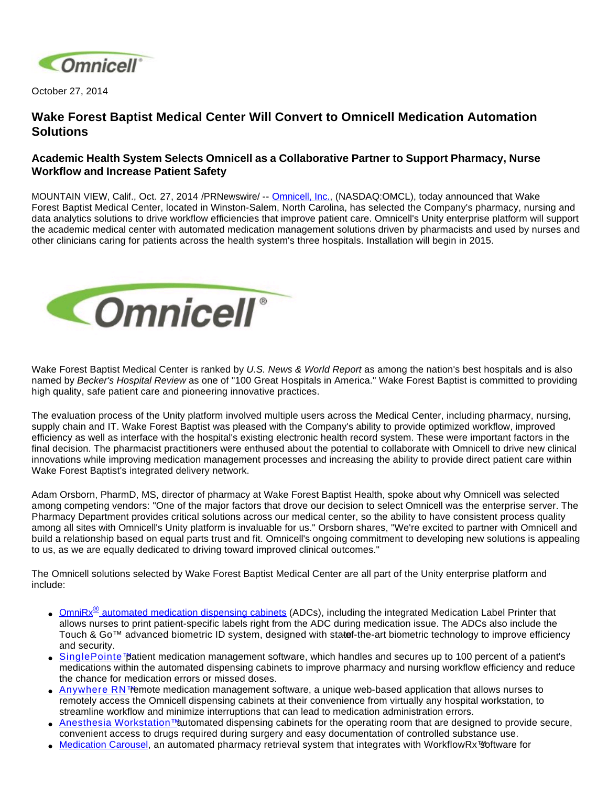

October 27, 2014

## **Wake Forest Baptist Medical Center Will Convert to Omnicell Medication Automation Solutions**

## **Academic Health System Selects Omnicell as a Collaborative Partner to Support Pharmacy, Nurse Workflow and Increase Patient Safety**

MOUNTAIN VIEW, Calif., Oct. 27, 2014 /PRNewswire/ -- [Omnicell, Inc.](http://www.omnicell.com/), (NASDAQ:OMCL), today announced that Wake Forest Baptist Medical Center, located in Winston-Salem, North Carolina, has selected the Company's pharmacy, nursing and data analytics solutions to drive workflow efficiencies that improve patient care. Omnicell's Unity enterprise platform will support the academic medical center with automated medication management solutions driven by pharmacists and used by nurses and other clinicians caring for patients across the health system's three hospitals. Installation will begin in 2015.



Wake Forest Baptist Medical Center is ranked by U.S. News & World Report as among the nation's best hospitals and is also named by Becker's Hospital Review as one of "100 Great Hospitals in America." Wake Forest Baptist is committed to providing high quality, safe patient care and pioneering innovative practices.

The evaluation process of the Unity platform involved multiple users across the Medical Center, including pharmacy, nursing, supply chain and IT. Wake Forest Baptist was pleased with the Company's ability to provide optimized workflow, improved efficiency as well as interface with the hospital's existing electronic health record system. These were important factors in the final decision. The pharmacist practitioners were enthused about the potential to collaborate with Omnicell to drive new clinical innovations while improving medication management processes and increasing the ability to provide direct patient care within Wake Forest Baptist's integrated delivery network.

Adam Orsborn, PharmD, MS, director of pharmacy at Wake Forest Baptist Health, spoke about why Omnicell was selected among competing vendors: "One of the major factors that drove our decision to select Omnicell was the enterprise server. The Pharmacy Department provides critical solutions across our medical center, so the ability to have consistent process quality among all sites with Omnicell's Unity platform is invaluable for us." Orsborn shares, "We're excited to partner with Omnicell and build a relationship based on equal parts trust and fit. Omnicell's ongoing commitment to developing new solutions is appealing to us, as we are equally dedicated to driving toward improved clinical outcomes."

The Omnicell solutions selected by Wake Forest Baptist Medical Center are all part of the Unity enterprise platform and include:

- Omni $Rx^{\circledR}$  [automated medication dispensing cabinets](http://www.omnicell.com/Products/Medication_Dispensing/Automated_Medication_Dispensing_Cabinets.aspx) (ADCs), including the integrated Medication Label Printer that allows nurses to print patient-specific labels right from the ADC during medication issue. The ADCs also include the Touch & Go™ advanced biometric ID system, designed with statef-the-art biometric technology to improve efficiency and security.
- [SinglePointe™](http://www.omnicell.com/Products/Medication_Dispensing/SinglePointe_Patient_Medication_Management.aspx) patient medication management software, which handles and secures up to 100 percent of a patient's medications within the automated dispensing cabinets to improve pharmacy and nursing workflow efficiency and reduce the chance for medication errors or missed doses.
- [Anywhere RN™](http://www.omnicell.com/Products/Medication_Dispensing/Anywhere_RN_Remote_Medication_Management.aspx) emote medication management software, a unique web-based application that allows nurses to remotely access the Omnicell dispensing cabinets at their convenience from virtually any hospital workstation, to streamline workflow and minimize interruptions that can lead to medication administration errors.
- [Anesthesia Workstation™](http://www.omnicell.com/Products/Medication_Dispensing/Anesthesia_Workstation_G4.aspx)automated dispensing cabinets for the operating room that are designed to provide secure, convenient access to drugs required during surgery and easy documentation of controlled substance use.
- [Medication Carousel](http://www.omnicell.com/Products/Central_Pharmacy_Automation/WorkflowRx_System/Inventory_Management_Carousel.aspx), an automated pharmacy retrieval system that integrates with WorkflowRx™ software for